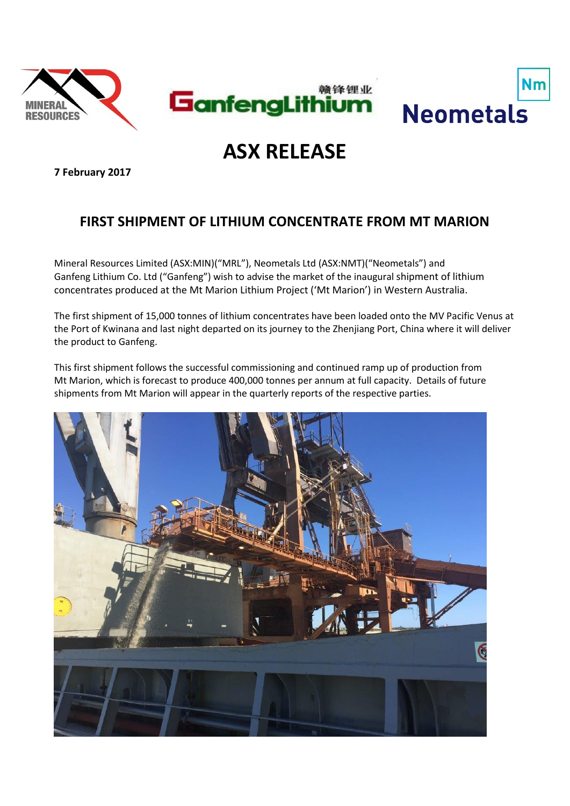



# **ASX RELEASE**

**7 February 2017**

# **FIRST SHIPMENT OF LITHIUM CONCENTRATE FROM MT MARION**

Mineral Resources Limited (ASX:MIN)("MRL"), Neometals Ltd (ASX:NMT)("Neometals") and Ganfeng Lithium Co. Ltd ("Ganfeng") wish to advise the market of the inaugural shipment of lithium concentrates produced at the Mt Marion Lithium Project ('Mt Marion') in Western Australia.

The first shipment of 15,000 tonnes of lithium concentrates have been loaded onto the MV Pacific Venus at the Port of Kwinana and last night departed on its journey to the Zhenjiang Port, China where it will deliver the product to Ganfeng.

This first shipment follows the successful commissioning and continued ramp up of production from Mt Marion, which is forecast to produce 400,000 tonnes per annum at full capacity. Details of future shipments from Mt Marion will appear in the quarterly reports of the respective parties.